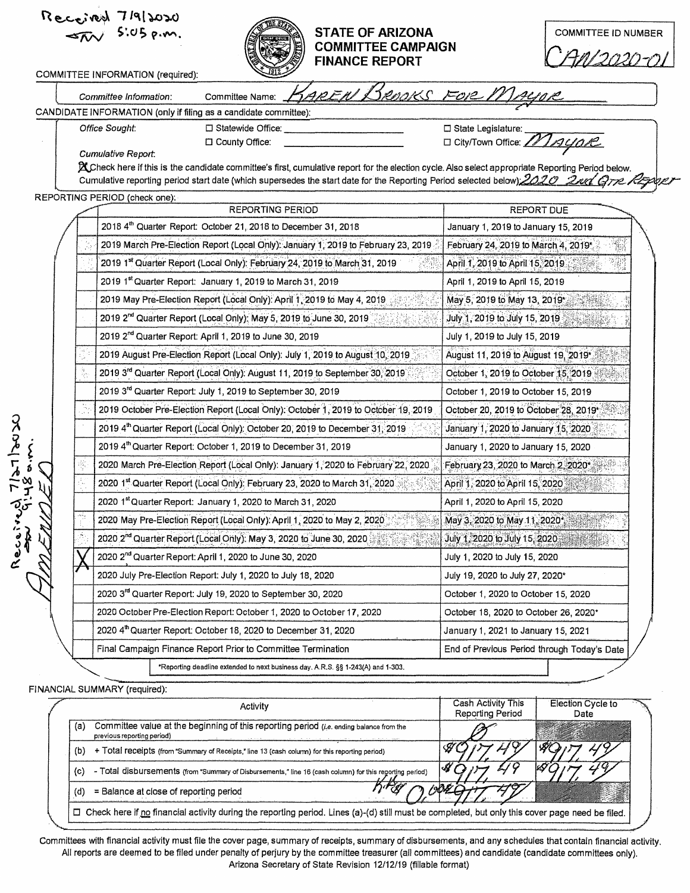|  | Received 7/9/2020<br>Peceived 7.013 p.m.<br><b>STATE OF ARIZONA</b><br><b>COMMITTEE CAMPAIGN</b><br><b>FINANCE REPORT</b>                                                                                                                                                            | <b>COMMITTEE ID NUMBER</b>                                |
|--|--------------------------------------------------------------------------------------------------------------------------------------------------------------------------------------------------------------------------------------------------------------------------------------|-----------------------------------------------------------|
|  | COMMITTEE INFORMATION (required):                                                                                                                                                                                                                                                    |                                                           |
|  | AREN BROOKS FOR MALIOR<br>Committee Name:<br>Committee Information:                                                                                                                                                                                                                  |                                                           |
|  | CANDIDATE INFORMATION (only if filing as a candidate committee):<br>□ Statewide Office:                                                                                                                                                                                              |                                                           |
|  | Office Sought:<br>County Office:                                                                                                                                                                                                                                                     | □ State Legislature:<br>□ City/Town Office: <i>11AyaR</i> |
|  | Cumulative Report.                                                                                                                                                                                                                                                                   |                                                           |
|  | X Check here if this is the candidate committee's first, cumulative report for the election cycle. Also select appropriate Reporting Period below.<br>Cumulative reporting period start date (which supersedes the start date for the Reporting Period selected below); 2020 2nd GTR |                                                           |
|  | REPORTING PERIOD (check one):                                                                                                                                                                                                                                                        |                                                           |
|  | <b>REPORTING PERIOD</b>                                                                                                                                                                                                                                                              | <b>REPORT DUE</b>                                         |
|  | 2018 4th Quarter Report: October 21, 2018 to December 31, 2018                                                                                                                                                                                                                       | January 1, 2019 to January 15, 2019                       |
|  | 2019 March Pre-Election Report (Local Only): January 1, 2019 to February 23, 2019                                                                                                                                                                                                    | February 24, 2019 to March 4, 2019*                       |
|  | 2019 1st Quarter Report (Local Only): February 24, 2019 to March 31, 2019                                                                                                                                                                                                            | April 1, 2019 to April 15, 2019                           |
|  | 2019 1st Quarter Report: January 1, 2019 to March 31, 2019                                                                                                                                                                                                                           | April 1, 2019 to April 15, 2019                           |
|  | 2019 May Pre-Election Report (Local Only): April 1, 2019 to May 4, 2019                                                                                                                                                                                                              | May 5, 2019 to May 13, 2019*                              |
|  | 2019 2 <sup>nd</sup> Quarter Report (Local Only): May 5, 2019 to June 30, 2019                                                                                                                                                                                                       | July 1, 2019 to July 15, 2019                             |
|  | 2019 2 <sup>nd</sup> Quarter Report: April 1, 2019 to June 30, 2019                                                                                                                                                                                                                  | July 1, 2019 to July 15, 2019                             |
|  | 2019 August Pre-Election Report (Local Only): July 1, 2019 to August 10, 2019                                                                                                                                                                                                        | August 11, 2019 to August 19, 2019*                       |
|  | 2019 3rd Quarter Report (Local Only): August 11, 2019 to September 30, 2019                                                                                                                                                                                                          | October 1, 2019 to October 15, 2019                       |
|  | 2019 3rd Quarter Report: July 1, 2019 to September 30, 2019                                                                                                                                                                                                                          | October 1, 2019 to October 15, 2019                       |
|  | 2019 October Pre-Election Report (Local Only): October 1, 2019 to October 19, 2019                                                                                                                                                                                                   | October 20, 2019 to October 28, 2019*                     |
|  | 2019 4th Quarter Report (Local Only): October 20, 2019 to December 31, 2019                                                                                                                                                                                                          | January 1, 2020 to January 15, 2020                       |
|  | 2019 4th Quarter Report: October 1, 2019 to December 31, 2019                                                                                                                                                                                                                        | January 1, 2020 to January 15, 2020                       |
|  | 2020 March Pre-Election Report (Local Only): January 1, 2020 to February 22, 2020                                                                                                                                                                                                    | February 23, 2020 to March 2, 2020*                       |
|  | 2020 1st Quarter Report (Local Only): February 23, 2020 to March 31, 2020                                                                                                                                                                                                            | April 1, 2020 to April 15, 2020                           |
|  | 2020 1st Quarter Report: January 1, 2020 to March 31, 2020                                                                                                                                                                                                                           | April 1, 2020 to April 15, 2020                           |
|  | 2020 May Pre-Election Report (Local Only): April 1, 2020 to May 2, 2020                                                                                                                                                                                                              | May 3, 2020 to May 11, 2020*                              |
|  | 2020 2 <sup>nd</sup> Quarter Report (Local Only): May 3, 2020 to June 30, 2020                                                                                                                                                                                                       | July 1, 2020 to July 15, 2020                             |
|  | 2020 2 <sup>nd</sup> Quarter Report: April 1, 2020 to June 30, 2020                                                                                                                                                                                                                  | July 1, 2020 to July 15, 2020                             |
|  | 2020 July Pre-Election Report: July 1, 2020 to July 18, 2020                                                                                                                                                                                                                         | July 19, 2020 to July 27, 2020*                           |
|  | 2020 3rd Quarter Report: July 19, 2020 to September 30, 2020                                                                                                                                                                                                                         | October 1, 2020 to October 15, 2020                       |
|  | 2020 October Pre-Election Report: October 1, 2020 to October 17, 2020                                                                                                                                                                                                                | October 18, 2020 to October 26, 2020*                     |
|  | 2020 4th Quarter Report: October 18, 2020 to December 31, 2020                                                                                                                                                                                                                       | January 1, 2021 to January 15, 2021                       |
|  | Final Campaign Finance Report Prior to Committee Termination                                                                                                                                                                                                                         | End of Previous Period through Today's Date               |
|  | *Reporting deadline extended to next business day, A.R.S. §§ 1-243(A) and 1-303.                                                                                                                                                                                                     |                                                           |

| Activity                                                                                                                                          | <b>Cash Activity This</b><br><b>Reporting Period</b> | <b>Election Cycle to</b><br>Date |  |
|---------------------------------------------------------------------------------------------------------------------------------------------------|------------------------------------------------------|----------------------------------|--|
| Committee value at the beginning of this reporting period (i.e. ending balance from the<br>(a)<br>previous reporting period)                      |                                                      |                                  |  |
| + Total receipts (from "Summary of Receipts," line 13 (cash column) for this reporting period)<br>(b)                                             |                                                      |                                  |  |
| - Total disbursements (from "Summary of Disbursements," line 16 (cash column) for this reporting period)<br>(c)                                   |                                                      |                                  |  |
| = Balance at close of reporting period                                                                                                            |                                                      |                                  |  |
| □ Check here if no financial activity during the reporting period. Lines (a)-(d) still must be completed, but only this cover page need be filed. |                                                      |                                  |  |

Committees with financial activity must file the cover page, summary of receipts, summary of disbursements, and any schedules that contain financial activity. All reports are deemed to be filed under penalty of perjury by the committee treasurer (all committees) and candidate (candidate committees only). Arizona Secretary of State Revision 12/12/19 (fillable format)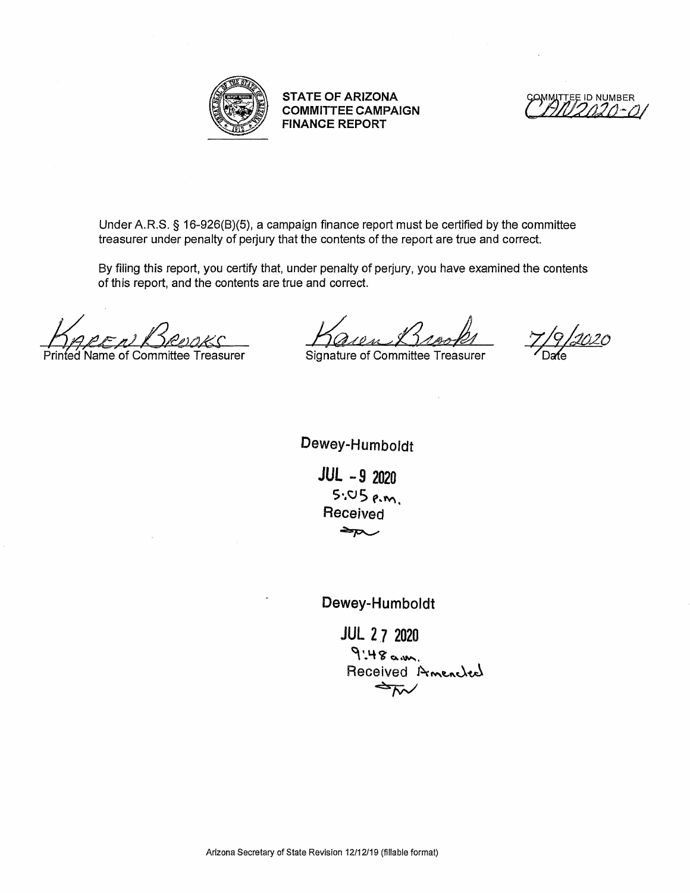

**STATE OF ARIZONA COMMITTEE CAMPAIGN FINANCE REPORT** 

~~NUMBER. *'.tJ.20 ·-(JI* •

Under A.R.S. § 16-926(8)(5), a campaign finance report must be certified by the committee treasurer under penalty of perjury that the contents of the report are true and correct.

By filing this report, you certify that, under penalty of perjury, you have examined the contents of this report, and the contents are true and correct.

~,c,I!!.. *&u2~!'*  Printed Name of Committee Treasurer

Kaven Brooks

Signature of Committee Treasurer

<u>1020</u>

Dewey-Humboldt

*JUL* -9 2020  $5.05$   $cm$ . Received<br>ح<del>رم</del>

Dewey-Humboldt

**JUL 2 7 2020**  $9:48$  a.m. Received Amenched<br>AM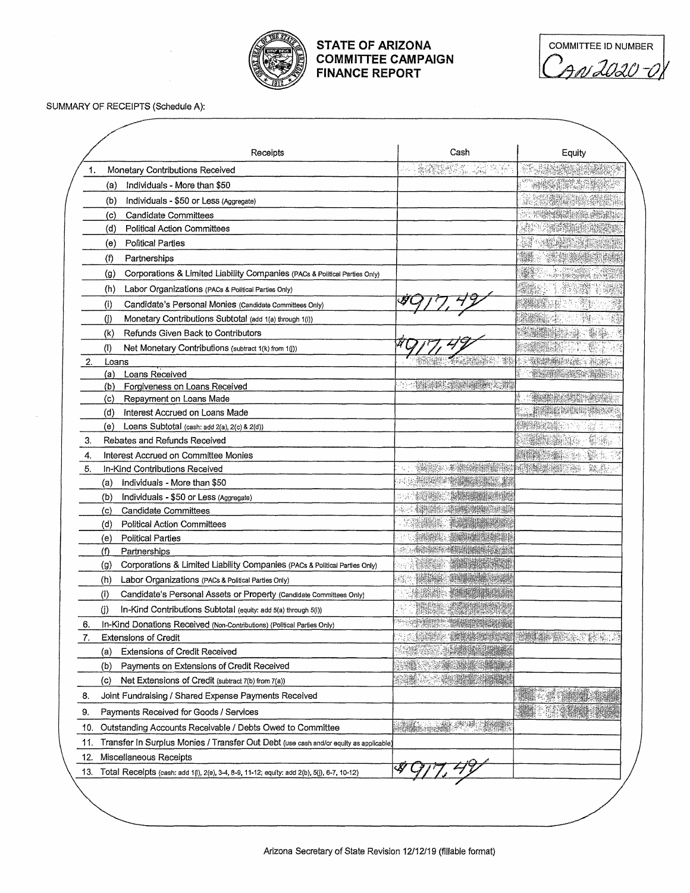

## **STATE OF ARIZONA COMMITTEE CAMPAIGN FINANCE REPORT**

| <b>COMMITTEE ID NUMBER</b> |  |
|----------------------------|--|
| N LUQU-N                   |  |

SUMMARY OF RECEIPTS (Schedule A):

| Receipts                                                                                          | Cash                                                                                                           | Equity                                                                                                                |
|---------------------------------------------------------------------------------------------------|----------------------------------------------------------------------------------------------------------------|-----------------------------------------------------------------------------------------------------------------------|
| Monetary Contributions Received<br>1.                                                             |                                                                                                                |                                                                                                                       |
| Individuals - More than \$50<br>(a)                                                               |                                                                                                                |                                                                                                                       |
| Individuals - \$50 or Less (Aggregate)<br>(b)                                                     |                                                                                                                |                                                                                                                       |
| Candidate Committees<br>(c)                                                                       |                                                                                                                |                                                                                                                       |
| <b>Political Action Committees</b><br>(d)                                                         |                                                                                                                |                                                                                                                       |
| <b>Political Parties</b><br>(e)                                                                   |                                                                                                                |                                                                                                                       |
| $\langle \text{f} \rangle$<br>Partnerships                                                        |                                                                                                                |                                                                                                                       |
| Corporations & Limited Liability Companies (PACs & Political Parties Only)<br>(g)                 |                                                                                                                | <b>SUPER START OF A START OF A START OF A START OF A START OF A START OF A START OF A START OF A START OF A START</b> |
| Labor Organizations (PACs & Political Partles Only)<br>(h)                                        |                                                                                                                |                                                                                                                       |
| (i)<br>Candidate's Personal Monies (Candidate Committees Only)                                    |                                                                                                                |                                                                                                                       |
| (i)<br>Monetary Contributions Subtotal (add 1(a) through 1(i))                                    |                                                                                                                |                                                                                                                       |
| Refunds Given Back to Contributors<br>(k)                                                         |                                                                                                                |                                                                                                                       |
| (1)<br>Net Monetary Contributions (subtract 1(k) from 1(j))                                       |                                                                                                                |                                                                                                                       |
| 2.<br>Loans                                                                                       | 경제                                                                                                             | "我们是你的话,我们好                                                                                                           |
| Loans Received<br>(a)                                                                             |                                                                                                                | <b>The Report</b>                                                                                                     |
| Forgiveness on Loans Received<br>(b)                                                              | <b>The Committee of the Committee of the Committee of the Committee</b>                                        |                                                                                                                       |
| (c)<br>Repayment on Loans Made                                                                    |                                                                                                                |                                                                                                                       |
| (d)<br>Interest Accrued on Loans Made                                                             |                                                                                                                |                                                                                                                       |
| (e)<br>Loans Subtotal (cash: add 2(a), 2(c) & 2(d))                                               |                                                                                                                |                                                                                                                       |
| Rebates and Refunds Received<br>3.                                                                |                                                                                                                |                                                                                                                       |
| 4.<br>Interest Accrued on Committee Monies                                                        |                                                                                                                |                                                                                                                       |
| 5.<br>In-Kind Contributions Received                                                              | <b>The Street of the Second Co</b>                                                                             | <b>COMPANY</b><br>鞣品<br>$\mathcal{M}_{\mathcal{D}}$                                                                   |
| (a)<br>Individuals - More than \$50                                                               | 0.400000                                                                                                       |                                                                                                                       |
| (b)<br>Individuals - \$50 or Less (Aggregate)                                                     |                                                                                                                |                                                                                                                       |
| (c)<br>Candidate Committees                                                                       |                                                                                                                |                                                                                                                       |
| <b>Political Action Committees</b><br>(d)                                                         |                                                                                                                |                                                                                                                       |
| <b>Political Parties</b><br>(e)                                                                   |                                                                                                                |                                                                                                                       |
| (f)<br>Partnerships                                                                               |                                                                                                                |                                                                                                                       |
| Corporations & Limited Liability Companies (PACs & Political Parties Only)<br>(g)                 |                                                                                                                |                                                                                                                       |
| Labor Organizations (PACs & Political Parties Only)<br>(h)                                        |                                                                                                                |                                                                                                                       |
| $\langle i \rangle$<br>Candidate's Personal Assets or Property (Candidate Committees Only)        |                                                                                                                |                                                                                                                       |
| (i)<br>In-Kind Contributions Subtotal (equity: add 5(a) through 5(i))                             |                                                                                                                |                                                                                                                       |
| In-Kind Donations Received (Non-Contributions) (Political Parties Only)<br>6.                     |                                                                                                                |                                                                                                                       |
| <b>Extensions of Credit</b>                                                                       | The company of the company of the company of the company of the company of the company of the company of the c | S EX<br><b>SANCER</b>                                                                                                 |
| <b>Extensions of Credit Received</b><br>(a)                                                       | 4488.7                                                                                                         |                                                                                                                       |
| (b)<br>Payments on Extensions of Credit Received                                                  |                                                                                                                |                                                                                                                       |
| Net Extensions of Credit (subtract 7(b) from 7(a))<br>(c)                                         |                                                                                                                |                                                                                                                       |
| Joint Fundraising / Shared Expense Payments Received<br>8.                                        |                                                                                                                |                                                                                                                       |
| 9.<br>Payments Received for Goods / Services                                                      |                                                                                                                |                                                                                                                       |
| Outstanding Accounts Receivable / Debts Owed to Committee<br>10.                                  |                                                                                                                |                                                                                                                       |
| Transfer In Surplus Monies / Transfer Out Debt (use cash and/or equity as applicable)<br>11.      |                                                                                                                |                                                                                                                       |
| 12.<br>Miscellaneous Receipts                                                                     |                                                                                                                |                                                                                                                       |
| 13.<br>Total Receipts (cash: add 1(1), 2(e), 3-4, 8-9, 11-12; equity: add 2(b), 5(j), 6-7, 10-12) |                                                                                                                |                                                                                                                       |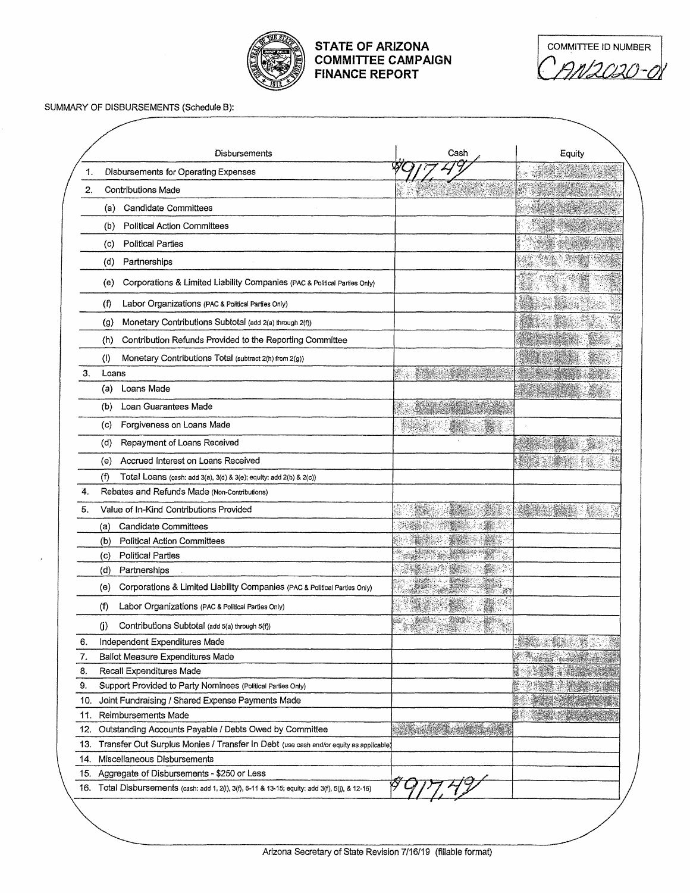

## **STATE OF ARIZONA COMMITTEE CAMPAIGN FINANCE REPORT**

| COMMITTEE ID NUMBER |  |
|---------------------|--|
| 111 21 121 .        |  |

## SUMMARY OF DISBURSEMENTS (Schedule B):

|     | Disbursements                                                                                    | Cash | Equity |
|-----|--------------------------------------------------------------------------------------------------|------|--------|
| 1.  | Disbursements for Operating Expenses                                                             |      |        |
| 2.  | <b>Contributions Made</b>                                                                        |      |        |
|     | <b>Candidate Committees</b><br>(a)                                                               |      |        |
|     | <b>Political Action Committees</b><br>(b)                                                        |      |        |
|     | <b>Political Parties</b><br>(c)                                                                  |      |        |
|     | (d)<br>Partnerships                                                                              |      |        |
|     | Corporations & Limited Liability Companies (PAC & Political Parties Only)<br>(e)                 |      |        |
|     | Labor Organizations (PAC & Political Parties Only)<br>(f)                                        |      |        |
|     | Monetary Contributions Subtotal (add 2(a) through 2(f))<br>(g)                                   |      |        |
|     | Contribution Refunds Provided to the Reporting Committee<br>(h)                                  |      |        |
|     | Monetary Contributions Total (subtract 2(h) from 2(g))<br>$\left( 0\right)$                      |      |        |
| 3.  | Loans                                                                                            |      |        |
|     | Loans Made<br>(a)                                                                                |      |        |
|     | Loan Guarantees Made<br>(b)                                                                      |      |        |
|     | Forgiveness on Loans Made<br>(c)                                                                 |      |        |
|     | Repayment of Loans Received<br>(d)                                                               |      |        |
|     | Accrued Interest on Loans Received<br>(e)                                                        |      |        |
|     | (f)<br>Total Loans (cash: add 3(a), 3(d) & 3(e); equity: add 2(b) & 2(c))                        |      |        |
| 4.  | Rebates and Refunds Made (Non-Contributions)                                                     |      |        |
| 5.  | Value of In-Kind Contributions Provided                                                          |      |        |
|     | Candidate Committees<br>(a)                                                                      |      |        |
|     | Political Action Committees<br>(b)                                                               |      |        |
|     | <b>Political Parties</b><br>(c)                                                                  |      |        |
|     | (d)<br>Partnerships                                                                              |      |        |
|     | Corporations & Limited Liability Companies (PAC & Political Parties Only)<br>(e)                 |      |        |
|     | (f)<br>Labor Organizations (PAC & Political Parties Only)                                        |      |        |
|     | $\langle j \rangle$<br>Contributions Subtotal (add 5(a) through 5(f))                            |      |        |
| 6.  | Independent Expenditures Made                                                                    |      |        |
| 7.  | Ballot Measure Expenditures Made                                                                 |      |        |
| 8.  | Recall Expenditures Made                                                                         |      |        |
| 9.  | Support Provided to Party Nominees (Political Parties Only)                                      |      |        |
| 10. | Joint Fundraising / Shared Expense Payments Made                                                 |      |        |
| 11. | Reimbursements Made                                                                              |      |        |
| 12. | Outstanding Accounts Payable / Debts Owed by Committee                                           |      |        |
| 13. | Transfer Out Surplus Monies / Transfer In Debt (use cash and/or equity as applicable)            |      |        |
| 14. | Miscellaneous Disbursements                                                                      |      |        |
| 15. | Aggregate of Disbursements - \$250 or Less                                                       |      |        |
|     | 16. Total Disbursements (cash: add 1, 2(i), 3(f), 6-11 & 13-15; equity: add 3(f), 5(j), & 12-15) |      |        |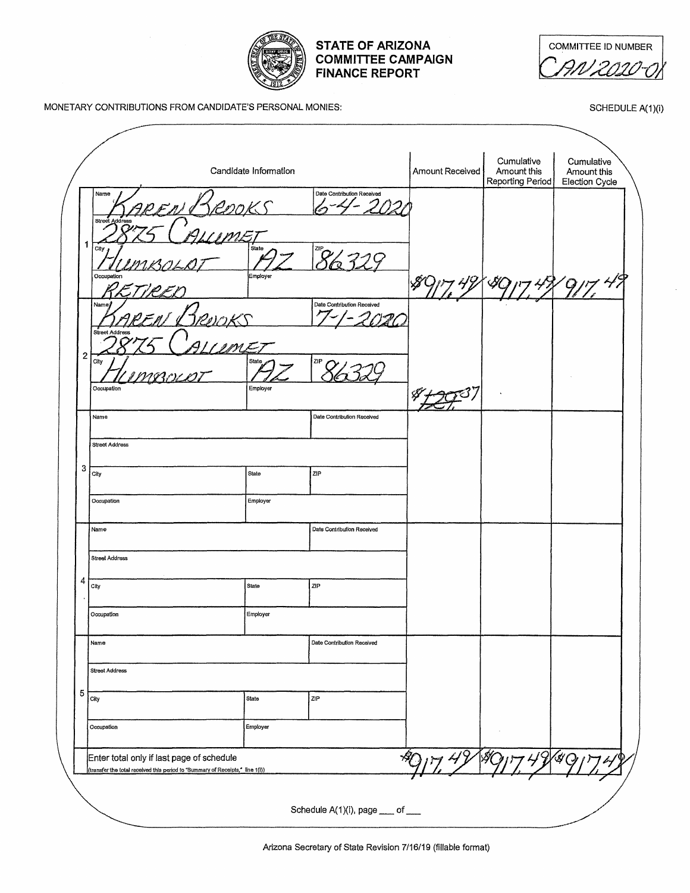

| <b>COMMITTEE ID NUMBER</b> |  |
|----------------------------|--|
| -7777                      |  |

MONETARY CONTRIBUTIONS FROM CANDIDATE'S PERSONAL MONIES:

SCHEDULE A(1)(i)

|                                 |                         | Candidate Information |                            | Amount Received | Cumulative<br>Amount this<br>Reporting Period | Cumulative<br>Amount this<br>Election Cycle |
|---------------------------------|-------------------------|-----------------------|----------------------------|-----------------|-----------------------------------------------|---------------------------------------------|
| Name<br>Street                  | Address                 |                       | Date Contribution Received |                 |                                               |                                             |
| 1<br>City                       | Occupation              | State<br>Employer     | $\alpha$                   |                 |                                               |                                             |
| Name                            | ・ノタノ                    |                       | Date Contribution Received |                 |                                               |                                             |
|                                 | アロレツド<br>Street Address |                       |                            |                 |                                               |                                             |
| $\overline{\mathbf{c}}$<br>City | IME.<br>manie           | <b>State</b>          | ZIP                        |                 |                                               |                                             |
|                                 | Occupation              | Employer              |                            |                 |                                               |                                             |
| Name                            | <b>Street Address</b>   |                       | Date Contribution Received |                 |                                               |                                             |
| 3<br>City                       |                         | State                 | ZIP                        |                 |                                               |                                             |
| Occupation                      |                         | Employer              |                            |                 |                                               |                                             |
| Name                            |                         |                       | Date Contribution Received |                 |                                               |                                             |
| 4                               | <b>Street Address</b>   |                       |                            |                 |                                               |                                             |
| City<br>Occupation              |                         | State<br>Employer     | ZIP                        |                 |                                               |                                             |
| Name                            |                         |                       | Date Contribution Received |                 |                                               |                                             |
|                                 | <b>Street Address</b>   |                       |                            |                 |                                               |                                             |
|                                 |                         |                       |                            |                 |                                               |                                             |
| 5<br>City                       |                         | <b>State</b>          | ZIP                        |                 |                                               |                                             |
| Occupation                      |                         | Employer              |                            |                 |                                               |                                             |

Arizona Secretary of State Revision 7/16/19 (fillable format)